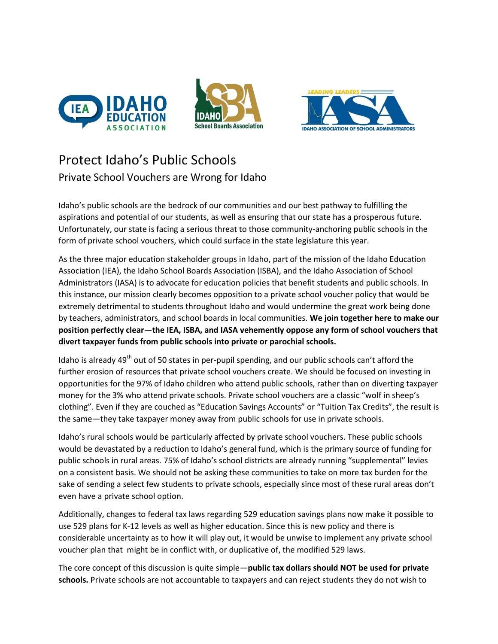





## Protect Idaho's Public Schools Private School Vouchers are Wrong for Idaho

Idaho's public schools are the bedrock of our communities and our best pathway to fulfilling the aspirations and potential of our students, as well as ensuring that our state has a prosperous future. Unfortunately, our state is facing a serious threat to those community-anchoring public schools in the form of private school vouchers, which could surface in the state legislature this year.

As the three major education stakeholder groups in Idaho, part of the mission of the Idaho Education Association (IEA), the Idaho School Boards Association (ISBA), and the Idaho Association of School Administrators (IASA) is to advocate for education policies that benefit students and public schools. In this instance, our mission clearly becomes opposition to a private school voucher policy that would be extremely detrimental to students throughout Idaho and would undermine the great work being done by teachers, administrators, and school boards in local communities. **We join together here to make our position perfectly clear—the IEA, ISBA, and IASA vehemently oppose any form of school vouchers that divert taxpayer funds from public schools into private or parochial schools.**

Idaho is already 49<sup>th</sup> out of 50 states in per-pupil spending, and our public schools can't afford the further erosion of resources that private school vouchers create. We should be focused on investing in opportunities for the 97% of Idaho children who attend public schools, rather than on diverting taxpayer money for the 3% who attend private schools. Private school vouchers are a classic "wolf in sheep's clothing". Even if they are couched as "Education Savings Accounts" or "Tuition Tax Credits", the result is the same—they take taxpayer money away from public schools for use in private schools.

Idaho's rural schools would be particularly affected by private school vouchers. These public schools would be devastated by a reduction to Idaho's general fund, which is the primary source of funding for public schools in rural areas. 75% of Idaho's school districts are already running "supplemental" levies on a consistent basis. We should not be asking these communities to take on more tax burden for the sake of sending a select few students to private schools, especially since most of these rural areas don't even have a private school option.

Additionally, changes to federal tax laws regarding 529 education savings plans now make it possible to use 529 plans for K-12 levels as well as higher education. Since this is new policy and there is considerable uncertainty as to how it will play out, it would be unwise to implement any private school voucher plan that might be in conflict with, or duplicative of, the modified 529 laws.

The core concept of this discussion is quite simple—**public tax dollars should NOT be used for private schools.** Private schools are not accountable to taxpayers and can reject students they do not wish to